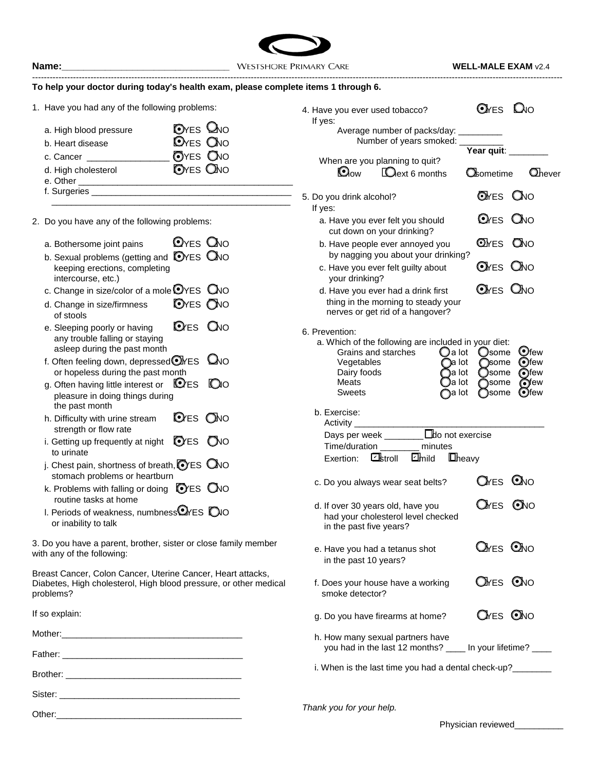

## **To help your doctor during today's health exam, please complete items 1 through 6.**

--------------------------------------------------------------------------------------------------------------------------------------------------------------------------------------

1. Have you had any of the following problems:

| a. High blood pressure<br>b. Heart disease | <b>O</b> YES <b>Q</b> NO<br><b>O</b> YES ONO |
|--------------------------------------------|----------------------------------------------|
| c. Cancer                                  | <b>OYES ONO</b>                              |
| d. High cholesterol<br>e. Other            | <b>O</b> YES <b>QNO</b>                      |
| f. Surgeries                               |                                              |

\_\_\_\_\_\_\_\_\_\_\_\_\_\_\_\_\_\_\_\_\_\_\_\_\_\_\_\_\_\_\_\_\_\_\_\_\_\_\_\_\_\_\_\_\_\_\_\_\_

2. Do you have any of the following problems:

| a. Bothersome joint pains                | $QYES$ $QNO$ |  |
|------------------------------------------|--------------|--|
| b. Sexual problems (getting and OYES ONO |              |  |
| keeping erections, completing            |              |  |
| intercourse, etc.)                       |              |  |
|                                          |              |  |

- c. Change in size/color of a mole  $QYES$   $QNO$
- d. Change in size/firmness **D**YES NO of stools
- e. Sleeping poorly or having  $\bigcirc$ ES  $\bigcirc$ NO any trouble falling or staying asleep during the past month
- f. Often feeling down, depressed  $\bigcirc$   $\mathbb{R}$ FS  $\bigcirc$   $\bigcirc$   $\circ$ or hopeless during the past month
- g. Often having little interest or  $\bigcirc$ ES  $\bigcirc$ iO pleasure in doing things during the past month
- h. Difficulty with urine stream  $\bigcirc$ ES  $\bigcirc$ NO strength or flow rate
- i. Getting up frequently at night  $\bigcirc$  ES  $\bigcirc$  NO to urinate
- j. Chest pain, shortness of breath,  $\bigcirc$ ES  $\bigcirc$ NO stomach problems or heartburn
- k. Problems with falling or doing  $\bigcirc$  ES  $\bigcirc$  NO routine tasks at home
- l. Periods of weakness, numbness<sup>O</sup>YES OIO or inability to talk

3. Do you have a parent, brother, sister or close family member with any of the following:

Breast Cancer, Colon Cancer, Uterine Cancer, Heart attacks, Diabetes, High cholesterol, High blood pressure, or other medical problems?

| If so explain: |  |
|----------------|--|
|                |  |
|                |  |
|                |  |
|                |  |
|                |  |

| 4. Have you ever used tobacco?<br>If yes:                                                                                                     |                                                    | Ores Dio                                           |                                          |
|-----------------------------------------------------------------------------------------------------------------------------------------------|----------------------------------------------------|----------------------------------------------------|------------------------------------------|
| Average number of packs/day:<br>Number of years smoked:                                                                                       |                                                    |                                                    |                                          |
| When are you planning to quit?<br>©ow<br><b>C</b> ext 6 months                                                                                |                                                    | Year quit:<br><b>C</b> hometime                    | <b>Ohever</b>                            |
| 5. Do you drink alcohol?<br>If yes:                                                                                                           |                                                    | OMES ONO                                           |                                          |
| a. Have you ever felt you should<br>cut down on your drinking?                                                                                |                                                    | $Q$ res $Q$ No                                     |                                          |
| b. Have people ever annoyed you<br>by nagging you about your drinking?                                                                        |                                                    | OLYES ONO                                          |                                          |
| c. Have you ever felt guilty about<br>your drinking?                                                                                          |                                                    | Ores Ono                                           |                                          |
| d. Have you ever had a drink first<br>thing in the morning to steady your<br>nerves or get rid of a hangover?                                 |                                                    | $\mathbf{\mathbb{Q}}$ res $\mathbf{\mathbb{Q}}$ no |                                          |
| 6. Prevention:<br>a. Which of the following are included in your diet:<br>Grains and starches<br>Vegetables<br>Dairy foods<br>Meats<br>Sweets | $\Box$ a lot<br>)a lot<br>)a lot<br>a lot<br>a lot | <b>Osome</b><br>)some<br>◯some<br>)some<br>)some   | ©few<br>(●)few<br>ெfew<br>∩few<br>(●)few |
| b. Exercise:<br>Activity                                                                                                                      |                                                    |                                                    |                                          |
| Days per week<br>Time/duration<br>minutes<br>Lastroll<br><b>Limild</b><br>Exertion:                                                           | $\square$ bo not exercise<br><b>L</b> heavy        |                                                    |                                          |
|                                                                                                                                               |                                                    |                                                    |                                          |
| c. Do you always wear seat belts?                                                                                                             |                                                    | $O$ res $O$ no                                     |                                          |
| d. If over 30 years old, have you<br>had your cholesterol level checked<br>in the past five years?                                            |                                                    | $\mathbf{Q}$ res                                   | $\bullet$ No                             |
| e. Have you had a tetanus shot<br>in the past 10 years?                                                                                       |                                                    | Omes Ono                                           |                                          |
| f. Does your house have a working<br>smoke detector?                                                                                          |                                                    | $\mathbf{O}$ mes $\mathbf{O}$ no                   |                                          |
| g. Do you have firearms at home?                                                                                                              |                                                    | $\alpha$ es Ono                                    |                                          |
| h. How many sexual partners have<br>you had in the last 12 months? ____ In your lifetime? ____                                                |                                                    |                                                    |                                          |
| i. When is the last time you had a dental check-up?                                                                                           |                                                    |                                                    |                                          |

*Thank you for your help.*